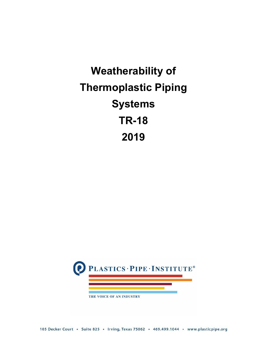# **Weatherability of Thermoplastic Piping Systems TR-18 2019**

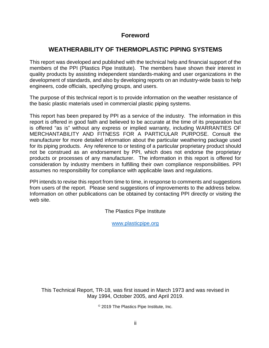#### **Foreword**

## **WEATHERABILITY OF THERMOPLASTIC PIPING SYSTEMS**

This report was developed and published with the technical help and financial support of the members of the PPI (Plastics Pipe Institute). The members have shown their interest in quality products by assisting independent standards-making and user organizations in the development of standards, and also by developing reports on an industry-wide basis to help engineers, code officials, specifying groups, and users.

The purpose of this technical report is to provide information on the weather resistance of the basic plastic materials used in commercial plastic piping systems.

This report has been prepared by PPI as a service of the industry. The information in this report is offered in good faith and believed to be accurate at the time of its preparation but is offered "as is" without any express or implied warranty, including WARRANTIES OF MERCHANTABILITY AND FITNESS FOR A PARTICULAR PURPOSE. Consult the manufacturer for more detailed information about the particular weathering package used for its piping products. Any reference to or testing of a particular proprietary product should not be construed as an endorsement by PPI, which does not endorse the proprietary products or processes of any manufacturer. The information in this report is offered for consideration by industry members in fulfilling their own compliance responsibilities. PPI assumes no responsibility for compliance with applicable laws and regulations.

PPI intends to revise this report from time to time, in response to comments and suggestions from users of the report. Please send suggestions of improvements to the address below. Information on other publications can be obtained by contacting PPI directly or visiting the web site.

The Plastics Pipe Institute

[www.plasticpipe.org](http://www.plasticpipe.org/) 

This Technical Report, TR-18, was first issued in March 1973 and was revised in May 1994, October 2005, and April 2019.

© 2019 The Plastics Pipe Institute, Inc.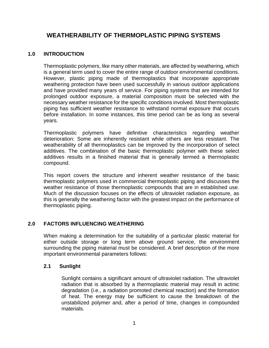### **WEATHERABILITY OF THERMOPLASTIC PIPING SYSTEMS**

#### **1.0 INTRODUCTION**

Thermoplastic polymers, like many other materials, are affected by weathering, which is a general term used to cover the entire range of outdoor environmental conditions. However, plastic piping made of thermoplastics that incorporate appropriate weathering protection have been used successfully in various outdoor applications and have provided many years of service. For piping systems that are intended for prolonged outdoor exposure, a material composition must be selected with the necessary weather resistance for the specific conditions involved. Most thermoplastic piping has sufficient weather resistance to withstand normal exposure that occurs before installation. In some instances, this time period can be as long as several years.

Thermoplastic polymers have definitive characteristics regarding weather deterioration: Some are inherently resistant while others are less resistant. The weatherability of all thermoplastics can be improved by the incorporation of select additives. The combination of the basic thermoplastic polymer with these select additives results in a finished material that is generally termed a thermoplastic compound.

This report covers the structure and inherent weather resistance of the basic thermoplastic polymers used in commercial thermoplastic piping and discusses the weather resistance of those thermoplastic compounds that are in established use. Much of the discussion focuses on the effects of ultraviolet radiation exposure, as this is generally the weathering factor with the greatest impact on the performance of thermoplastic piping.

#### **2.0 FACTORS INFLUENCING WEATHERING**

When making a determination for the suitability of a particular plastic material for either outside storage or long term above ground service, the environment surrounding the piping material must be considered. A brief description of the more important environmental parameters follows:

#### **2.1 Sunlight**

Sunlight contains a significant amount of ultraviolet radiation. The ultraviolet radiation that is absorbed by a thermoplastic material may result in actinic degradation (i.e., a radiation promoted chemical reaction) and the formation of heat. The energy may be sufficient to cause the breakdown of the unstabilized polymer and, after a period of time, changes in compounded materials.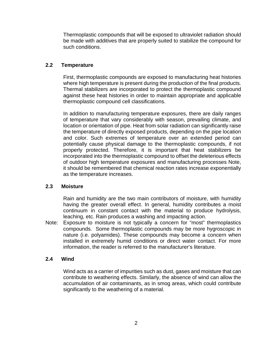Thermoplastic compounds that will be exposed to ultraviolet radiation should be made with additives that are properly suited to stabilize the compound for such conditions.

#### **2.2 Temperature**

First, thermoplastic compounds are exposed to manufacturing heat histories where high temperature is present during the production of the final products. Thermal stabilizers are incorporated to protect the thermoplastic compound against these heat histories in order to maintain appropriate and applicable thermoplastic compound cell classifications.

In addition to manufacturing temperature exposures, there are daily ranges of temperature that vary considerably with season, prevailing climate, and location or orientation of pipe. Heat from solar radiation can significantly raise the temperature of directly exposed products, depending on the pipe location and color. Such extremes of temperature over an extended period can potentially cause physical damage to the thermoplastic compounds, if not properly protected. Therefore, it is important that heat stabilizers be incorporated into the thermoplastic compound to offset the deleterious effects of outdoor high temperature exposures and manufacturing processes Note, it should be remembered that chemical reaction rates increase exponentially as the temperature increases.

#### **2.3 Moisture**

Rain and humidity are the two main contributors of moisture, with humidity having the greater overall effect. In general, humidity contributes a moist continuum in constant contact with the material to produce hydrolysis, leaching, etc. Rain produces a washing and impacting action.

Note: Exposure to moisture is not typically a concern for "most" thermoplastics compounds. Some thermoplastic compounds may be more hygroscopic in nature (i.e. polyamides). These compounds may become a concern when installed in extremely humid conditions or direct water contact. For more information, the reader is referred to the manufacturer's literature.

#### **2.4 Wind**

Wind acts as a carrier of impurities such as dust, gases and moisture that can contribute to weathering effects. Similarly, the absence of wind can allow the accumulation of air contaminants, as in smog areas, which could contribute significantly to the weathering of a material.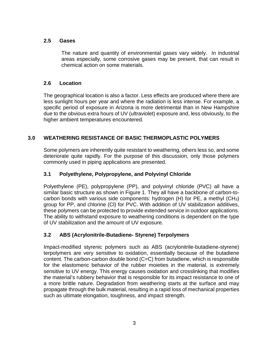#### **2.5 Gases**

The nature and quantity of environmental gases vary widely. In industrial areas especially, some corrosive gases may be present, that can result in chemical action on some materials.

#### **2.6 Location**

The geographical location is also a factor. Less effects are produced where there are less sunlight hours per year and where the radiation is less intense. For example, a specific period of exposure in Arizona is more detrimental than in New Hampshire due to the obvious extra hours of UV (ultraviolet) exposure and, less obviously, to the higher ambient temperatures encountered.

#### **3.0 WEATHERING RESISTANCE OF BASIC THERMOPLASTIC POLYMERS**

Some polymers are inherently quite resistant to weathering, others less so, and some deteriorate quite rapidly. For the purpose of this discussion, only those polymers commonly used in piping applications are presented.

#### **3.1 Polyethylene, Polypropylene, and Polyvinyl Chloride**

Polyethylene (PE), polypropylene (PP), and polyvinyl chloride (PVC) all have a similar basic structure as shown in Figure 1. They all have a backbone of carbon-tocarbon bonds with various side components: hydrogen (H) for PE, a methyl (CH3) group for PP, and chlorine (Cl) for PVC. With addition of UV stabilization additives, these polymers can be protected to provide extended service in outdoor applications. The ability to withstand exposure to weathering conditions is dependent on the type of UV stabilization and the amount of UV exposure.

#### **3.2 ABS (Acrylonitrile-Butadiene- Styrene) Terpolymers**

Impact-modified styrenic polymers such as ABS (acrylonitrile-butadiene-styrene) terpolymers are very sensitive to oxidation, essentially because of the butadiene content. The carbon-carbon double bond (C=C) from butadiene, which is responsible for the elastomeric behavior of the rubber moieties in the material, is extremely sensitive to UV energy. This energy causes oxidation and crosslinking that modifies the material's rubbery behavior that is responsible for its impact resistance to one of a more brittle nature. Degradation from weathering starts at the surface and may propagate through the bulk material, resulting in a rapid loss of mechanical properties such as ultimate elongation, toughness, and impact strength.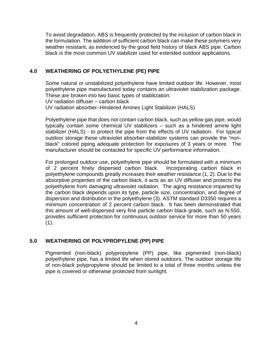To avoid degradation, ABS is frequently protected by the inclusion of carbon black in the formulation. The addition of sufficient carbon black can make these polymers very weather resistant, as evidenced by the good field history of black ABS pipe. Carbon black is the most common UV stabilizer used for extended outdoor applications.

#### **4.0 WEATHERING OF POLYETHYLENE (PE) PIPE**

Some natural or unstabilized polyethylene have limited outdoor life. However, most polyethylene pipe manufactured today contains an ultraviolet stabilization package. These are broken into two basic types of stabilization: UV radiation diffuser – carbon black UV radiation absorber–Hindered Amines Light Stabilizer (HALS)

Polyethylene pipe that does not contain carbon black, such as yellow gas pipe, would typically contain some chemical UV stabilizers – such as a hindered amine light stabilizer (HALS) - to protect the pipe from the effects of UV radiation. For typical outdoor storage these ultraviolet absorber-stabilizer systems can provide the "nonblack" colored piping adequate protection for exposures of 3 years or more. The manufacturer should be contacted for specific UV performance information.

For prolonged outdoor use, polyethylene pipe should be formulated with a minimum of 2 percent finely dispersed carbon black. Incorporating carbon black in polyethylene compounds greatly increases their weather resistance (1, 2). Due to the absorptive properties of the carbon black, it acts as an UV diffuser and protects the polyethylene from damaging ultraviolet radiation. The aging resistance imparted by the carbon black depends upon its type, particle size, concentration, and degree of dispersion and distribution in the polyethylene (3). ASTM standard D3350 requires a minimum concentration of 2 percent carbon black. It has been demonstrated that this amount of well-dispersed very fine particle carbon black grade, such as N-550, provides sufficient protection for continuous outdoor service for more than 50 years  $(1)$ ..

#### **5.0 WEATHERING OF POLYPROPYLENE (PP) PIPE**

Pigmented (non-black) polypropylene (PP) pipe, like pigmented (non-black) polyethylene pipe, has a limited life when stored outdoors. The outdoor storage life of non-black polypropylene should be limited to a total of three months unless the pipe is covered or otherwise protected from sunlight.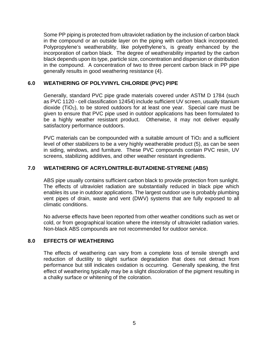Some PP piping is protected from ultraviolet radiation by the inclusion of carbon black in the compound or an outside layer on the piping with carbon black incorporated. Polypropylene's weatherability, like polyethylene's, is greatly enhanced by the incorporation of carbon black. The degree of weatherability imparted by the carbon black depends upon its type, particle size, concentration and dispersion or distribution in the compound. A concentration of two to three percent carbon black in PP pipe generally results in good weathering resistance (4).

#### **6.0 WEATHERING OF POLYVINYL CHLORIDE (PVC) PIPE**

Generally, standard PVC pipe grade materials covered under ASTM D 1784 (such as PVC 1120 - cell classification 12454) include sufficient UV screen, usually titanium dioxide ( $TiO<sub>2</sub>$ ), to be stored outdoors for at least one year. Special care must be given to ensure that PVC pipe used in outdoor applications has been formulated to be a highly weather resistant product. Otherwise, it may not deliver equally satisfactory performance outdoors.

PVC materials can be compounded with a suitable amount of  $TiO<sub>2</sub>$  and a sufficient level of other stabilizers to be a very highly weatherable product (5), as can be seen in siding, windows, and furniture. These PVC compounds contain PVC resin, UV screens, stabilizing additives, and other weather resistant ingredients.

#### **7.0 WEATHERING OF ACRYLONITRILE-BUTADIENE-STYRENE (ABS)**

ABS pipe usually contains sufficient carbon black to provide protection from sunlight. The effects of ultraviolet radiation are substantially reduced in black pipe which enables its use in outdoor applications. The largest outdoor use is probably plumbing vent pipes of drain, waste and vent (DWV) systems that are fully exposed to all climatic conditions.

No adverse effects have been reported from other weather conditions such as wet or cold, or from geographical location where the intensity of ultraviolet radiation varies. Non-black ABS compounds are not recommended for outdoor service.

#### **8.0 EFFECTS OF WEATHERING**

The effects of weathering can vary from a complete loss of tensile strength and reduction of ductility to slight surface degradation that does not detract from performance but still indicates oxidation is occurring. Generally speaking, the first effect of weathering typically may be a slight discoloration of the pigment resulting in a chalky surface or whitening of the coloration.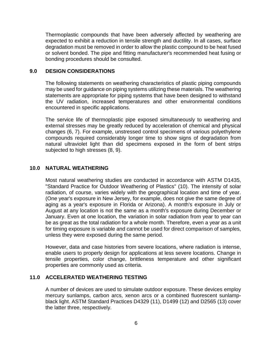Thermoplastic compounds that have been adversely affected by weathering are expected to exhibit a reduction in tensile strength and ductility. In all cases, surface degradation must be removed in order to allow the plastic compound to be heat fused or solvent bonded. The pipe and fitting manufacturer's recommended heat fusing or bonding procedures should be consulted.

#### **9.0 DESIGN CONSIDERATIONS**

The following statements on weathering characteristics of plastic piping compounds may be used for guidance on piping systems utilizing these materials. The weathering statements are appropriate for piping systems that have been designed to withstand the UV radiation, increased temperatures and other environmental conditions encountered in specific applications.

The service life of thermoplastic pipe exposed simultaneously to weathering and external stresses may be greatly reduced by acceleration of chemical and physical changes (6, 7). For example, unstressed control specimens of various polyethylene compounds required considerably longer time to show signs of degradation from natural ultraviolet light than did specimens exposed in the form of bent strips subjected to high stresses (8, 9).

#### **10.0 NATURAL WEATHERING**

Most natural weathering studies are conducted in accordance with ASTM D1435, "Standard Practice for Outdoor Weathering of Plastics" (10). The intensity of solar radiation, of course, varies widely with the geographical location and time of year. (One year's exposure in New Jersey, for example, does not give the same degree of aging as a year's exposure in Florida or Arizona). A month's exposure in July or August at any location is not the same as a month's exposure during December or January. Even at one location, the variation in solar radiation from year to year can be as great as the total radiation for a whole month. Therefore, even a year as a unit for timing exposure is variable and cannot be used for direct comparison of samples, unless they were exposed during the same period.

However, data and case histories from severe locations, where radiation is intense, enable users to properly design for applications at less severe locations. Change in tensile properties, color change, brittleness temperature and other significant properties are commonly used as criteria.

#### **11.0 ACCELERATED WEATHERING TESTING**

A number of devices are used to simulate outdoor exposure. These devices employ mercury sunlamps, carbon arcs, xenon arcs or a combined fluorescent sunlampblack light. ASTM Standard Practices D4329 (11), D1499 (12) and D2565 (13) cover the latter three, respectively.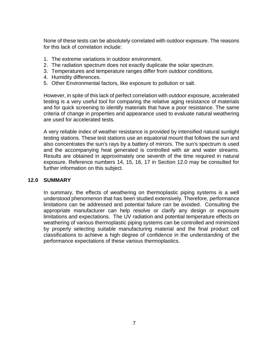None of these tests can be absolutely correlated with outdoor exposure. The reasons for this lack of correlation include:

- 1. The extreme variations in outdoor environment.
- 2. The radiation spectrum does not exactly duplicate the solar spectrum.
- 3. Temperatures and temperature ranges differ from outdoor conditions.
- 4. Humidity differences.
- 5. Other Environmental factors, like exposure to pollution or salt.

However, in spite of this lack of perfect correlation with outdoor exposure, accelerated testing is a very useful tool for comparing the relative aging resistance of materials and for quick screening to identify materials that have a poor resistance. The same criteria of change in properties and appearance used to evaluate natural weathering are used for accelerated tests.

A very reliable index of weather resistance is provided by intensified natural sunlight testing stations. These test stations use an equatorial mount that follows the sun and also concentrates the sun's rays by a battery of mirrors. The sun's spectrum is used and the accompanying heat generated is controlled with air and water streams. Results are obtained in approximately one seventh of the time required in natural exposure. Reference numbers 14, 15, 16, 17 in Section 12.0 may be consulted for further information on this subject.

#### **12.0 SUMMARY**

In summary, the effects of weathering on thermoplastic piping systems is a well understood phenomenon that has been studied extensively. Therefore, performance limitations can be addressed and potential failure can be avoided. Consulting the appropriate manufacturer can help resolve or clarify any design or exposure limitations and expectations. The UV radiation and potential temperature effects on weathering of various thermoplastic piping systems can be controlled and minimized by properly selecting suitable manufacturing material and the final product cell classifications to achieve a high degree of confidence in the understanding of the performance expectations of these various thermoplastics.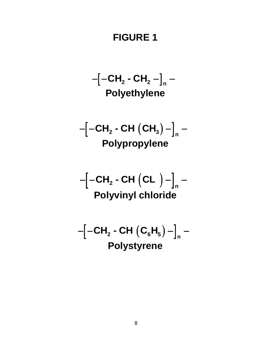# **FIGURE 1**

$$
-[-CH2-CH2-]n-
$$
  
**Polyethylene**

$$
-\left[-CH_2-CH~(CH_3)-\right]_n-
$$
  
**Polypropylene**

$$
-[-CH2-CH (CL )-]n-
$$
  
Polyvinyl chloride

$$
-\left[-CH_2-CH\left(C_6H_5\right)-\right]_n-
$$
  
**Polystyrene**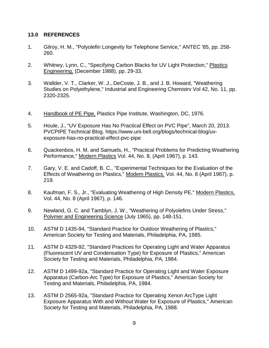#### **13.0 REFERENCES**

- 1. Gilroy, H. M., "Polyolefin Longevity for Telephone Service," ANTEC '85, pp. 258- 260.
- 2. Whitney, Lynn, C., "Specifying Carbon Blacks for UV Light Protection," Plastics Engineering, (December 1988), pp. 29-33.
- 3. Wallder, V. T., Clarker, W. J., DeCoste, J. B., and J. B. Howard, "Weathering Studies on Polyethylene," Industrial and Engineering Chemistrv Vol 42, No. 11, pp. 2320-2325.
- 4. Handbook of PE Pipe, Plastics Pipe Institute, Washington, DC, 1976.
- 5. Houle, J., "UV Exposure Has No Practical Effect on PVC Pipe", March 20, 2013. PVCPIPE Technical Blog. https://www.uni-bell.org/blogs/technical-blog/uvexposure-has-no-practical-effect-pvc-pipe
- 6. Quackenbos, H. M. and Samuels, H., "Practical Problems for Predicting Weathering Performance," Modern Plastics Vol. 44, No. 8, (April 1967), p. 143.
- 7. Gary, V. E. and Cadoff, B. C., "Experimental Techniques for the Evaluation of the Effects of Weathering on Plastics," Modem Plastics, Vol. 44, No. 8 (April 1967), p. 219.
- 8. Kaufman, F. S., Jr., "Evaluating Weathering of High Density PE," Modern Plastics, Vol. 44, No. 8 (April 1967), p. 146.
- 9. Newland, G. C. and Tamblyn, J. W., "Weathering of Polyolefins Under Stress," Polvmer and Engineering Science (July 1965), pp. 148-151.
- 10. ASTM D 1435-94, "Standard Practice for Outdoor Weathering of Plastics," American Society for Testing and Materials, Philadelphia, PA, 1985.
- 11. ASTM D 4329-92, "Standard Practices for Operating Light and Water Apparatus (Fluorescent UV and Condensation Type) for Exposure of Plastics," American Society for Testing and Materials, Philadelphia, PA, 1984.
- 12. ASTM D 1499-92a, "Standard Practice for Operating Light and Water Exposure Apparatus (Carbon-Arc Type) for Exposure of Plastics," American Society for Testing and Materials, Philadelphia, PA, 1984.
- 13. ASTM D 2565-92a, "Standard Practice for Operating Xenon ArcType Light Exposure Apparatus With and Without Water for Exposure of Plastics," American Society for Testing and Materials, Philadelphia, PA, 1988.